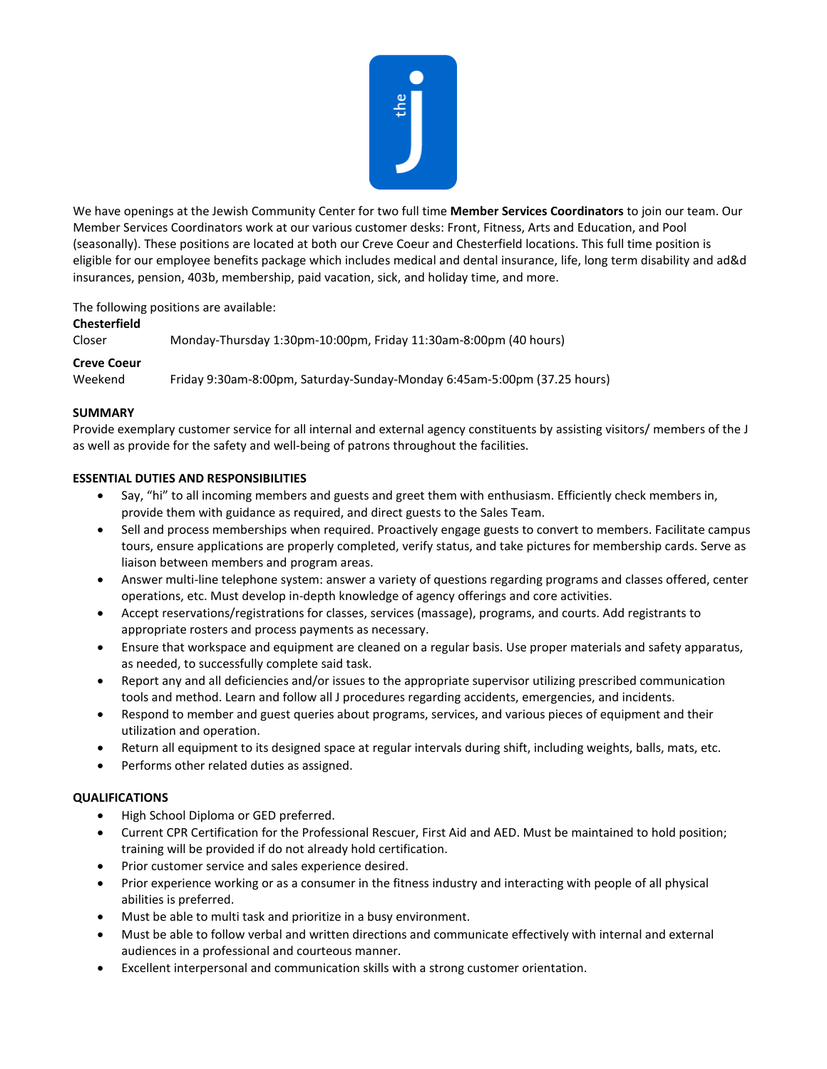

We have openings at the Jewish Community Center for two full time **Member Services Coordinators** to join our team. Our Member Services Coordinators work at our various customer desks: Front, Fitness, Arts and Education, and Pool (seasonally). These positions are located at both our Creve Coeur and Chesterfield locations. This full time position is eligible for our employee benefits package which includes medical and dental insurance, life, long term disability and ad&d insurances, pension, 403b, membership, paid vacation, sick, and holiday time, and more.

The following positions are available:

## **Chesterfield**

Closer Monday-Thursday 1:30pm-10:00pm, Friday 11:30am-8:00pm (40 hours)

# **Creve Coeur**

Weekend Friday 9:30am-8:00pm, Saturday-Sunday-Monday 6:45am-5:00pm (37.25 hours)

# **SUMMARY**

Provide exemplary customer service for all internal and external agency constituents by assisting visitors/ members of the J as well as provide for the safety and well-being of patrons throughout the facilities.

# **ESSENTIAL DUTIES AND RESPONSIBILITIES**

- Say, "hi" to all incoming members and guests and greet them with enthusiasm. Efficiently check members in, provide them with guidance as required, and direct guests to the Sales Team.
- Sell and process memberships when required. Proactively engage guests to convert to members. Facilitate campus tours, ensure applications are properly completed, verify status, and take pictures for membership cards. Serve as liaison between members and program areas.
- Answer multi-line telephone system: answer a variety of questions regarding programs and classes offered, center operations, etc. Must develop in-depth knowledge of agency offerings and core activities.
- Accept reservations/registrations for classes, services (massage), programs, and courts. Add registrants to appropriate rosters and process payments as necessary.
- Ensure that workspace and equipment are cleaned on a regular basis. Use proper materials and safety apparatus, as needed, to successfully complete said task.
- Report any and all deficiencies and/or issues to the appropriate supervisor utilizing prescribed communication tools and method. Learn and follow all J procedures regarding accidents, emergencies, and incidents.
- Respond to member and guest queries about programs, services, and various pieces of equipment and their utilization and operation.
- Return all equipment to its designed space at regular intervals during shift, including weights, balls, mats, etc.
- Performs other related duties as assigned.

## **QUALIFICATIONS**

- High School Diploma or GED preferred.
- Current CPR Certification for the Professional Rescuer, First Aid and AED. Must be maintained to hold position; training will be provided if do not already hold certification.
- Prior customer service and sales experience desired.
- Prior experience working or as a consumer in the fitness industry and interacting with people of all physical abilities is preferred.
- Must be able to multi task and prioritize in a busy environment.
- Must be able to follow verbal and written directions and communicate effectively with internal and external audiences in a professional and courteous manner.
- Excellent interpersonal and communication skills with a strong customer orientation.